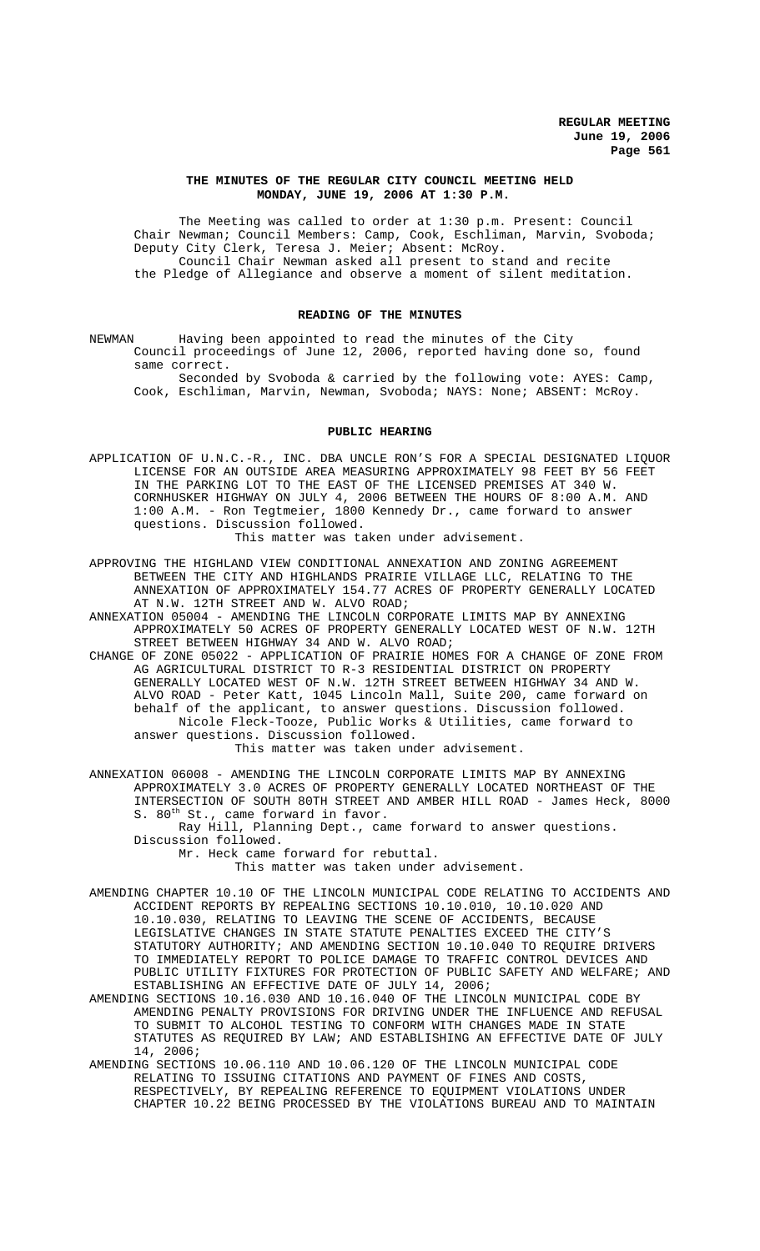## **THE MINUTES OF THE REGULAR CITY COUNCIL MEETING HELD MONDAY, JUNE 19, 2006 AT 1:30 P.M.**

The Meeting was called to order at 1:30 p.m. Present: Council Chair Newman; Council Members: Camp, Cook, Eschliman, Marvin, Svoboda; Deputy City Clerk, Teresa J. Meier; Absent: McRoy. Council Chair Newman asked all present to stand and recite the Pledge of Allegiance and observe a moment of silent meditation.

# **READING OF THE MINUTES**

NEWMAN Having been appointed to read the minutes of the City Council proceedings of June 12, 2006, reported having done so, found same correct.

Seconded by Svoboda & carried by the following vote: AYES: Camp, Cook, Eschliman, Marvin, Newman, Svoboda; NAYS: None; ABSENT: McRoy.

#### **PUBLIC HEARING**

APPLICATION OF U.N.C.-R., INC. DBA UNCLE RON'S FOR A SPECIAL DESIGNATED LIQUOR LICENSE FOR AN OUTSIDE AREA MEASURING APPROXIMATELY 98 FEET BY 56 FEET IN THE PARKING LOT TO THE EAST OF THE LICENSED PREMISES AT 340 W. CORNHUSKER HIGHWAY ON JULY 4, 2006 BETWEEN THE HOURS OF 8:00 A.M. AND 1:00 A.M. - Ron Tegtmeier, 1800 Kennedy Dr., came forward to answer questions. Discussion followed.

This matter was taken under advisement.

- APPROVING THE HIGHLAND VIEW CONDITIONAL ANNEXATION AND ZONING AGREEMENT BETWEEN THE CITY AND HIGHLANDS PRAIRIE VILLAGE LLC, RELATING TO THE ANNEXATION OF APPROXIMATELY 154.77 ACRES OF PROPERTY GENERALLY LOCATED AT N.W. 12TH STREET AND W. ALVO ROAD;
- ANNEXATION 05004 AMENDING THE LINCOLN CORPORATE LIMITS MAP BY ANNEXING APPROXIMATELY 50 ACRES OF PROPERTY GENERALLY LOCATED WEST OF N.W. 12TH STREET BETWEEN HIGHWAY 34 AND W. ALVO ROAD;
- CHANGE OF ZONE 05022 APPLICATION OF PRAIRIE HOMES FOR A CHANGE OF ZONE FROM AG AGRICULTURAL DISTRICT TO R-3 RESIDENTIAL DISTRICT ON PROPERTY GENERALLY LOCATED WEST OF N.W. 12TH STREET BETWEEN HIGHWAY 34 AND W. ALVO ROAD - Peter Katt, 1045 Lincoln Mall, Suite 200, came forward on behalf of the applicant, to answer questions. Discussion followed. Nicole Fleck-Tooze, Public Works & Utilities, came forward to answer questions. Discussion followed. This matter was taken under advisement.

ANNEXATION 06008 - AMENDING THE LINCOLN CORPORATE LIMITS MAP BY ANNEXING APPROXIMATELY 3.0 ACRES OF PROPERTY GENERALLY LOCATED NORTHEAST OF THE INTERSECTION OF SOUTH 80TH STREET AND AMBER HILL ROAD - James Heck, 8000 S. 80<sup>th</sup> St., came forward in favor.

Ray Hill, Planning Dept., came forward to answer questions. Discussion followed.

Mr. Heck came forward for rebuttal.

# This matter was taken under advisement.

AMENDING CHAPTER 10.10 OF THE LINCOLN MUNICIPAL CODE RELATING TO ACCIDENTS AND ACCIDENT REPORTS BY REPEALING SECTIONS 10.10.010, 10.10.020 AND 10.10.030, RELATING TO LEAVING THE SCENE OF ACCIDENTS, BECAUSE LEGISLATIVE CHANGES IN STATE STATUTE PENALTIES EXCEED THE CITY'S STATUTORY AUTHORITY; AND AMENDING SECTION 10.10.040 TO REQUIRE DRIVERS TO IMMEDIATELY REPORT TO POLICE DAMAGE TO TRAFFIC CONTROL DEVICES AND PUBLIC UTILITY FIXTURES FOR PROTECTION OF PUBLIC SAFETY AND WELFARE; AND ESTABLISHING AN EFFECTIVE DATE OF JULY 14, 2006;

- AMENDING SECTIONS 10.16.030 AND 10.16.040 OF THE LINCOLN MUNICIPAL CODE BY AMENDING PENALTY PROVISIONS FOR DRIVING UNDER THE INFLUENCE AND REFUSAL TO SUBMIT TO ALCOHOL TESTING TO CONFORM WITH CHANGES MADE IN STATE STATUTES AS REQUIRED BY LAW; AND ESTABLISHING AN EFFECTIVE DATE OF JULY 14, 2006;
- AMENDING SECTIONS 10.06.110 AND 10.06.120 OF THE LINCOLN MUNICIPAL CODE RELATING TO ISSUING CITATIONS AND PAYMENT OF FINES AND COSTS, RESPECTIVELY, BY REPEALING REFERENCE TO EQUIPMENT VIOLATIONS UNDER CHAPTER 10.22 BEING PROCESSED BY THE VIOLATIONS BUREAU AND TO MAINTAIN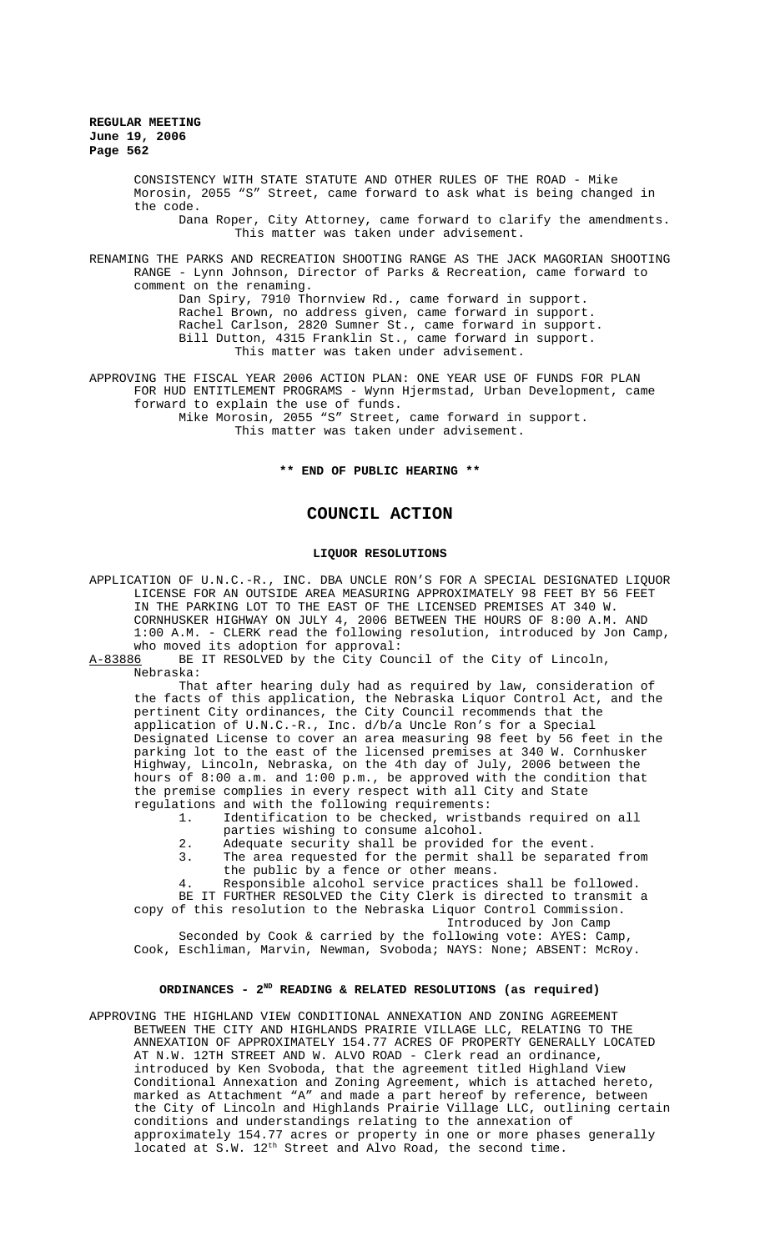> CONSISTENCY WITH STATE STATUTE AND OTHER RULES OF THE ROAD - Mike Morosin, 2055 "S" Street, came forward to ask what is being changed in the code.

Dana Roper, City Attorney, came forward to clarify the amendments. This matter was taken under advisement.

RENAMING THE PARKS AND RECREATION SHOOTING RANGE AS THE JACK MAGORIAN SHOOTING RANGE - Lynn Johnson, Director of Parks & Recreation, came forward to comment on the renaming.

Dan Spiry, 7910 Thornview Rd., came forward in support. Rachel Brown, no address given, came forward in support. Rachel Carlson, 2820 Sumner St., came forward in support. Bill Dutton, 4315 Franklin St., came forward in support. This matter was taken under advisement.

APPROVING THE FISCAL YEAR 2006 ACTION PLAN: ONE YEAR USE OF FUNDS FOR PLAN FOR HUD ENTITLEMENT PROGRAMS - Wynn Hjermstad, Urban Development, came forward to explain the use of funds. Mike Morosin, 2055 "S" Street, came forward in support. This matter was taken under advisement.

**\*\* END OF PUBLIC HEARING \*\***

# **COUNCIL ACTION**

### **LIQUOR RESOLUTIONS**

APPLICATION OF U.N.C.-R., INC. DBA UNCLE RON'S FOR A SPECIAL DESIGNATED LIQUOR LICENSE FOR AN OUTSIDE AREA MEASURING APPROXIMATELY 98 FEET BY 56 FEET IN THE PARKING LOT TO THE EAST OF THE LICENSED PREMISES AT 340 W. CORNHUSKER HIGHWAY ON JULY 4, 2006 BETWEEN THE HOURS OF 8:00 A.M. AND 1:00 A.M. - CLERK read the following resolution, introduced by Jon Camp, who moved its adoption for approval:<br>A-83886 BE IT RESOLVED by the City Cou

BE IT RESOLVED by the City Council of the City of Lincoln, Nebraska:

That after hearing duly had as required by law, consideration of the facts of this application, the Nebraska Liquor Control Act, and the pertinent City ordinances, the City Council recommends that the application of U.N.C.-R., Inc. d/b/a Uncle Ron's for a Special Designated License to cover an area measuring 98 feet by 56 feet in the parking lot to the east of the licensed premises at 340 W. Cornhusker Highway, Lincoln, Nebraska, on the 4th day of July, 2006 between the hours of 8:00 a.m. and 1:00 p.m., be approved with the condition that the premise complies in every respect with all City and State regulations and with the following requirements:

Identification to be checked, wristbands required on all parties wishing to consume alcohol.

- 2. Adequate security shall be provided for the event.
- 3. The area requested for the permit shall be separated from the public by a fence or other means.
- 4. Responsible alcohol service practices shall be followed.

BE IT FURTHER RESOLVED the City Clerk is directed to transmit a copy of this resolution to the Nebraska Liquor Control Commission.

Introduced by Jon Camp

Seconded by Cook & carried by the following vote: AYES: Camp, Cook, Eschliman, Marvin, Newman, Svoboda; NAYS: None; ABSENT: McRoy.

## **ORDINANCES - 2ND READING & RELATED RESOLUTIONS (as required)**

APPROVING THE HIGHLAND VIEW CONDITIONAL ANNEXATION AND ZONING AGREEMENT BETWEEN THE CITY AND HIGHLANDS PRAIRIE VILLAGE LLC, RELATING TO THE ANNEXATION OF APPROXIMATELY 154.77 ACRES OF PROPERTY GENERALLY LOCATED AT N.W. 12TH STREET AND W. ALVO ROAD - Clerk read an ordinance, introduced by Ken Svoboda, that the agreement titled Highland View Conditional Annexation and Zoning Agreement, which is attached hereto, marked as Attachment "A" and made a part hereof by reference, between the City of Lincoln and Highlands Prairie Village LLC, outlining certain conditions and understandings relating to the annexation of approximately 154.77 acres or property in one or more phases generally located at  $S.W. 12<sup>th</sup> Street and Alvo Road, the second time.$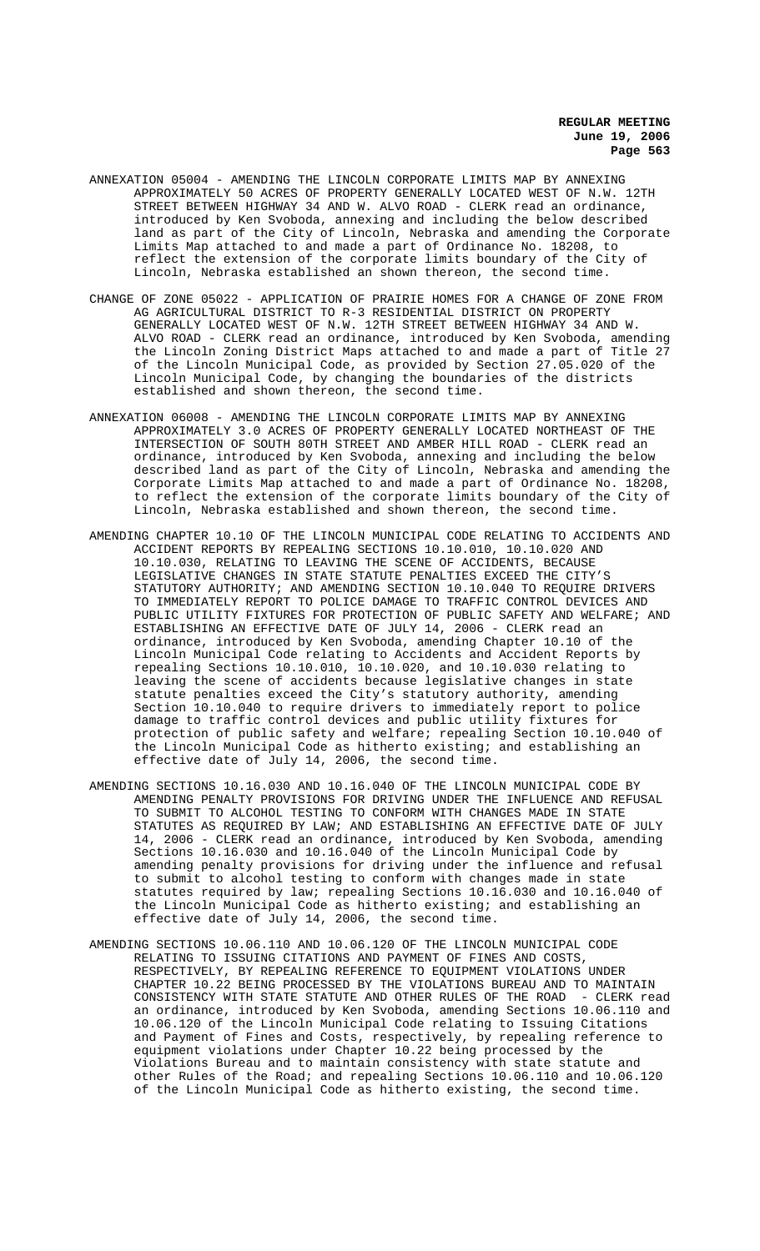- ANNEXATION 05004 AMENDING THE LINCOLN CORPORATE LIMITS MAP BY ANNEXING APPROXIMATELY 50 ACRES OF PROPERTY GENERALLY LOCATED WEST OF N.W. 12TH STREET BETWEEN HIGHWAY 34 AND W. ALVO ROAD - CLERK read an ordinance, introduced by Ken Svoboda, annexing and including the below described land as part of the City of Lincoln, Nebraska and amending the Corporate Limits Map attached to and made a part of Ordinance No. 18208, to reflect the extension of the corporate limits boundary of the City of Lincoln, Nebraska established an shown thereon, the second time.
- CHANGE OF ZONE 05022 APPLICATION OF PRAIRIE HOMES FOR A CHANGE OF ZONE FROM AG AGRICULTURAL DISTRICT TO R-3 RESIDENTIAL DISTRICT ON PROPERTY GENERALLY LOCATED WEST OF N.W. 12TH STREET BETWEEN HIGHWAY 34 AND W. ALVO ROAD - CLERK read an ordinance, introduced by Ken Svoboda, amending the Lincoln Zoning District Maps attached to and made a part of Title 27 of the Lincoln Municipal Code, as provided by Section 27.05.020 of the Lincoln Municipal Code, by changing the boundaries of the districts established and shown thereon, the second time.
- ANNEXATION 06008 AMENDING THE LINCOLN CORPORATE LIMITS MAP BY ANNEXING APPROXIMATELY 3.0 ACRES OF PROPERTY GENERALLY LOCATED NORTHEAST OF THE INTERSECTION OF SOUTH 80TH STREET AND AMBER HILL ROAD - CLERK read an ordinance, introduced by Ken Svoboda, annexing and including the below described land as part of the City of Lincoln, Nebraska and amending the Corporate Limits Map attached to and made a part of Ordinance No. 18208, to reflect the extension of the corporate limits boundary of the City of Lincoln, Nebraska established and shown thereon, the second time.
- AMENDING CHAPTER 10.10 OF THE LINCOLN MUNICIPAL CODE RELATING TO ACCIDENTS AND ACCIDENT REPORTS BY REPEALING SECTIONS 10.10.010, 10.10.020 AND 10.10.030, RELATING TO LEAVING THE SCENE OF ACCIDENTS, BECAUSE LEGISLATIVE CHANGES IN STATE STATUTE PENALTIES EXCEED THE CITY'S STATUTORY AUTHORITY; AND AMENDING SECTION 10.10.040 TO REQUIRE DRIVERS TO IMMEDIATELY REPORT TO POLICE DAMAGE TO TRAFFIC CONTROL DEVICES AND PUBLIC UTILITY FIXTURES FOR PROTECTION OF PUBLIC SAFETY AND WELFARE; AND ESTABLISHING AN EFFECTIVE DATE OF JULY 14, 2006 - CLERK read an ordinance, introduced by Ken Svoboda, amending Chapter 10.10 of the Lincoln Municipal Code relating to Accidents and Accident Reports by repealing Sections 10.10.010, 10.10.020, and 10.10.030 relating to leaving the scene of accidents because legislative changes in state statute penalties exceed the City's statutory authority, amending Section 10.10.040 to require drivers to immediately report to police damage to traffic control devices and public utility fixtures for protection of public safety and welfare; repealing Section 10.10.040 of the Lincoln Municipal Code as hitherto existing; and establishing an effective date of July 14, 2006, the second time.
- AMENDING SECTIONS 10.16.030 AND 10.16.040 OF THE LINCOLN MUNICIPAL CODE BY AMENDING PENALTY PROVISIONS FOR DRIVING UNDER THE INFLUENCE AND REFUSAL TO SUBMIT TO ALCOHOL TESTING TO CONFORM WITH CHANGES MADE IN STATE STATUTES AS REQUIRED BY LAW; AND ESTABLISHING AN EFFECTIVE DATE OF JULY 14, 2006 - CLERK read an ordinance, introduced by Ken Svoboda, amending Sections 10.16.030 and 10.16.040 of the Lincoln Municipal Code by amending penalty provisions for driving under the influence and refusal to submit to alcohol testing to conform with changes made in state statutes required by law; repealing Sections 10.16.030 and 10.16.040 of the Lincoln Municipal Code as hitherto existing; and establishing an effective date of July 14, 2006, the second time.
- AMENDING SECTIONS 10.06.110 AND 10.06.120 OF THE LINCOLN MUNICIPAL CODE RELATING TO ISSUING CITATIONS AND PAYMENT OF FINES AND COSTS, RESPECTIVELY, BY REPEALING REFERENCE TO EQUIPMENT VIOLATIONS UNDER CHAPTER 10.22 BEING PROCESSED BY THE VIOLATIONS BUREAU AND TO MAINTAIN CONSISTENCY WITH STATE STATUTE AND OTHER RULES OF THE ROAD an ordinance, introduced by Ken Svoboda, amending Sections 10.06.110 and 10.06.120 of the Lincoln Municipal Code relating to Issuing Citations and Payment of Fines and Costs, respectively, by repealing reference to equipment violations under Chapter 10.22 being processed by the Violations Bureau and to maintain consistency with state statute and other Rules of the Road; and repealing Sections 10.06.110 and 10.06.120 of the Lincoln Municipal Code as hitherto existing, the second time.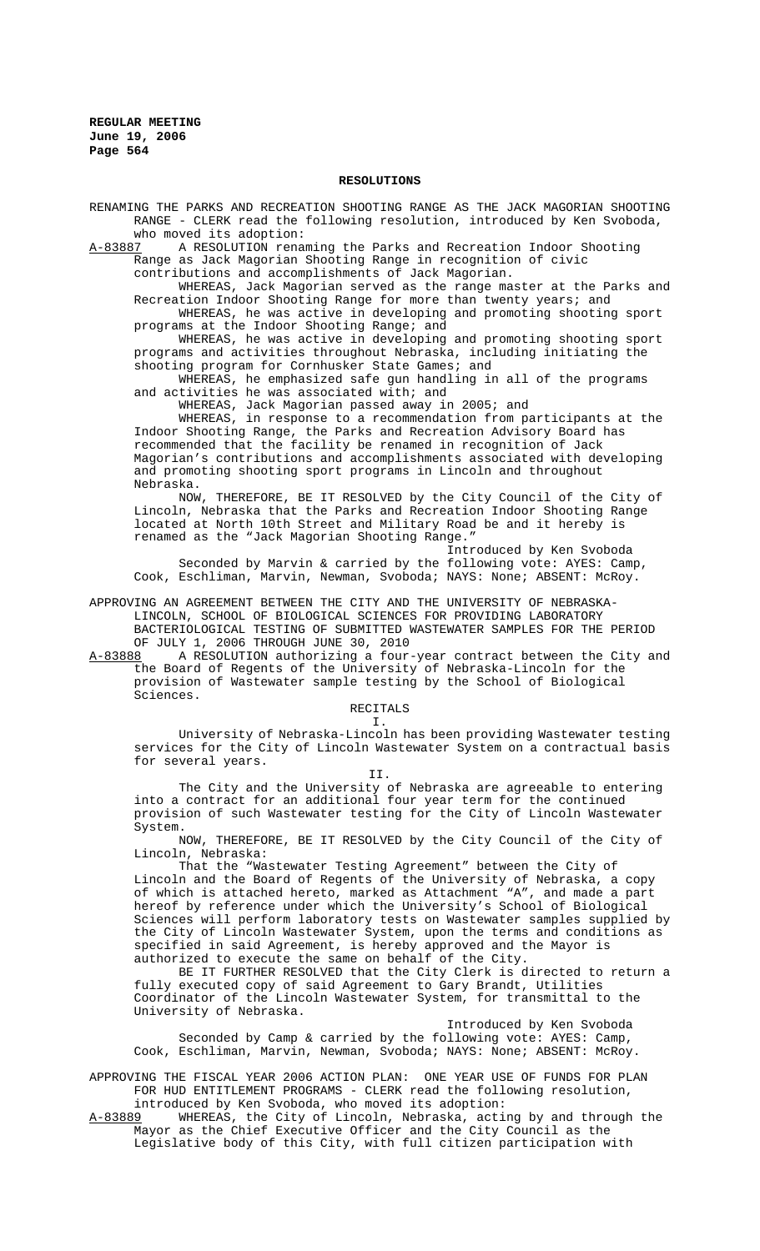### **RESOLUTIONS**

RENAMING THE PARKS AND RECREATION SHOOTING RANGE AS THE JACK MAGORIAN SHOOTING RANGE - CLERK read the following resolution, introduced by Ken Svoboda, who moved its adoption:

A-83887 A RESOLUTION renaming the Parks and Recreation Indoor Shooting Range as Jack Magorian Shooting Range in recognition of civic

contributions and accomplishments of Jack Magorian.

WHEREAS, Jack Magorian served as the range master at the Parks and Recreation Indoor Shooting Range for more than twenty years; and

WHEREAS, he was active in developing and promoting shooting sport programs at the Indoor Shooting Range; and

WHEREAS, he was active in developing and promoting shooting sport programs and activities throughout Nebraska, including initiating the shooting program for Cornhusker State Games; and

WHEREAS, he emphasized safe gun handling in all of the programs and activities he was associated with; and

WHEREAS, Jack Magorian passed away in 2005; and

WHEREAS, in response to a recommendation from participants at the Indoor Shooting Range, the Parks and Recreation Advisory Board has recommended that the facility be renamed in recognition of Jack Magorian's contributions and accomplishments associated with developing and promoting shooting sport programs in Lincoln and throughout Nebraska.

NOW, THEREFORE, BE IT RESOLVED by the City Council of the City of Lincoln, Nebraska that the Parks and Recreation Indoor Shooting Range located at North 10th Street and Military Road be and it hereby is renamed as the "Jack Magorian Shooting Range."

Introduced by Ken Svoboda Seconded by Marvin & carried by the following vote: AYES: Camp, Cook, Eschliman, Marvin, Newman, Svoboda; NAYS: None; ABSENT: McRoy.

APPROVING AN AGREEMENT BETWEEN THE CITY AND THE UNIVERSITY OF NEBRASKA-LINCOLN, SCHOOL OF BIOLOGICAL SCIENCES FOR PROVIDING LABORATORY BACTERIOLOGICAL TESTING OF SUBMITTED WASTEWATER SAMPLES FOR THE PERIOD OF JULY 1, 2006 THROUGH JUNE 30, 2010

A-83888 A RESOLUTION authorizing a four-year contract between the City and the Board of Regents of the University of Nebraska-Lincoln for the provision of Wastewater sample testing by the School of Biological Sciences.

RECITALS

I.

University of Nebraska-Lincoln has been providing Wastewater testing services for the City of Lincoln Wastewater System on a contractual basis for several years.

II.

The City and the University of Nebraska are agreeable to entering into a contract for an additional four year term for the continued provision of such Wastewater testing for the City of Lincoln Wastewater System.

NOW, THEREFORE, BE IT RESOLVED by the City Council of the City of Lincoln, Nebraska:

That the "Wastewater Testing Agreement" between the City of Lincoln and the Board of Regents of the University of Nebraska, a copy of which is attached hereto, marked as Attachment "A", and made a part hereof by reference under which the University's School of Biological Sciences will perform laboratory tests on Wastewater samples supplied by the City of Lincoln Wastewater System, upon the terms and conditions as specified in said Agreement, is hereby approved and the Mayor is authorized to execute the same on behalf of the City.

BE IT FURTHER RESOLVED that the City Clerk is directed to return a fully executed copy of said Agreement to Gary Brandt, Utilities Coordinator of the Lincoln Wastewater System, for transmittal to the University of Nebraska.

Introduced by Ken Svoboda Seconded by Camp & carried by the following vote: AYES: Camp, Cook, Eschliman, Marvin, Newman, Svoboda; NAYS: None; ABSENT: McRoy.

APPROVING THE FISCAL YEAR 2006 ACTION PLAN: ONE YEAR USE OF FUNDS FOR PLAN FOR HUD ENTITLEMENT PROGRAMS - CLERK read the following resolution, introduced by Ken Svoboda, who moved its adoption:

A-83889 WHEREAS, the City of Lincoln, Nebraska, acting by and through the Mayor as the Chief Executive Officer and the City Council as the Legislative body of this City, with full citizen participation with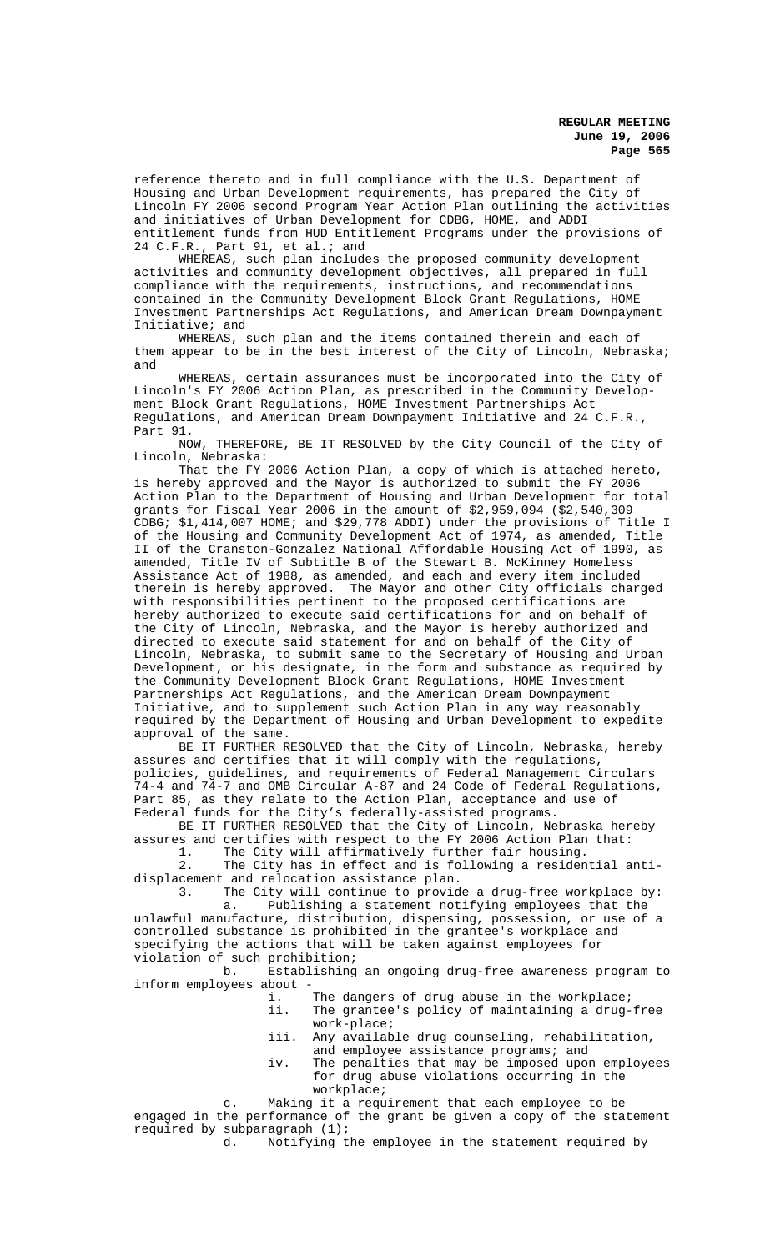reference thereto and in full compliance with the U.S. Department of Housing and Urban Development requirements, has prepared the City of Lincoln FY 2006 second Program Year Action Plan outlining the activities and initiatives of Urban Development for CDBG, HOME, and ADDI entitlement funds from HUD Entitlement Programs under the provisions of 24 C.F.R., Part 91, et al.; and

WHEREAS, such plan includes the proposed community development activities and community development objectives, all prepared in full compliance with the requirements, instructions, and recommendations contained in the Community Development Block Grant Regulations, HOME Investment Partnerships Act Regulations, and American Dream Downpayment Initiative; and

WHEREAS, such plan and the items contained therein and each of them appear to be in the best interest of the City of Lincoln, Nebraska; and

WHEREAS, certain assurances must be incorporated into the City of Lincoln's FY 2006 Action Plan, as prescribed in the Community Development Block Grant Regulations, HOME Investment Partnerships Act Regulations, and American Dream Downpayment Initiative and 24 C.F.R., Part 91.

NOW, THEREFORE, BE IT RESOLVED by the City Council of the City of Lincoln, Nebraska:

That the FY 2006 Action Plan, a copy of which is attached hereto, is hereby approved and the Mayor is authorized to submit the FY 2006 Action Plan to the Department of Housing and Urban Development for total grants for Fiscal Year 2006 in the amount of \$2,959,094 (\$2,540,309 CDBG; \$1,414,007 HOME; and \$29,778 ADDI) under the provisions of Title I of the Housing and Community Development Act of 1974, as amended, Title II of the Cranston-Gonzalez National Affordable Housing Act of 1990, as amended, Title IV of Subtitle B of the Stewart B. McKinney Homeless Assistance Act of 1988, as amended, and each and every item included therein is hereby approved. The Mayor and other City officials charged with responsibilities pertinent to the proposed certifications are hereby authorized to execute said certifications for and on behalf of the City of Lincoln, Nebraska, and the Mayor is hereby authorized and directed to execute said statement for and on behalf of the City of Lincoln, Nebraska, to submit same to the Secretary of Housing and Urban Development, or his designate, in the form and substance as required by the Community Development Block Grant Regulations, HOME Investment Partnerships Act Regulations, and the American Dream Downpayment Initiative, and to supplement such Action Plan in any way reasonably required by the Department of Housing and Urban Development to expedite approval of the same.

BE IT FURTHER RESOLVED that the City of Lincoln, Nebraska, hereby assures and certifies that it will comply with the regulations, policies, guidelines, and requirements of Federal Management Circulars 74-4 and 74-7 and OMB Circular A-87 and 24 Code of Federal Regulations, Part 85, as they relate to the Action Plan, acceptance and use of Federal funds for the City's federally-assisted programs.

BE IT FURTHER RESOLVED that the City of Lincoln, Nebraska hereby assures and certifies with respect to the FY 2006 Action Plan that: 1. The City will affirmatively further fair housing.

2. The City has in effect and is following a residential antidisplacement and relocation assistance plan.<br>3. The City will continue to provid

The City will continue to provide a drug-free workplace by: a. Publishing a statement notifying employees that the unlawful manufacture, distribution, dispensing, possession, or use of a controlled substance is prohibited in the grantee's workplace and specifying the actions that will be taken against employees for violation of such prohibition;

b. Establishing an ongoing drug-free awareness program to inform employees about -

- i. The dangers of drug abuse in the workplace;<br>ii. The grantee's policy of maintaining a drug-The grantee's policy of maintaining a drug-free work-place;
- iii. Any available drug counseling, rehabilitation, and employee assistance programs; and
- iv. The penalties that may be imposed upon employees for drug abuse violations occurring in the workplace;

c. Making it a requirement that each employee to be engaged in the performance of the grant be given a copy of the statement required by subparagraph  $(1)$ ;<br>d. Notifying t

Notifying the employee in the statement required by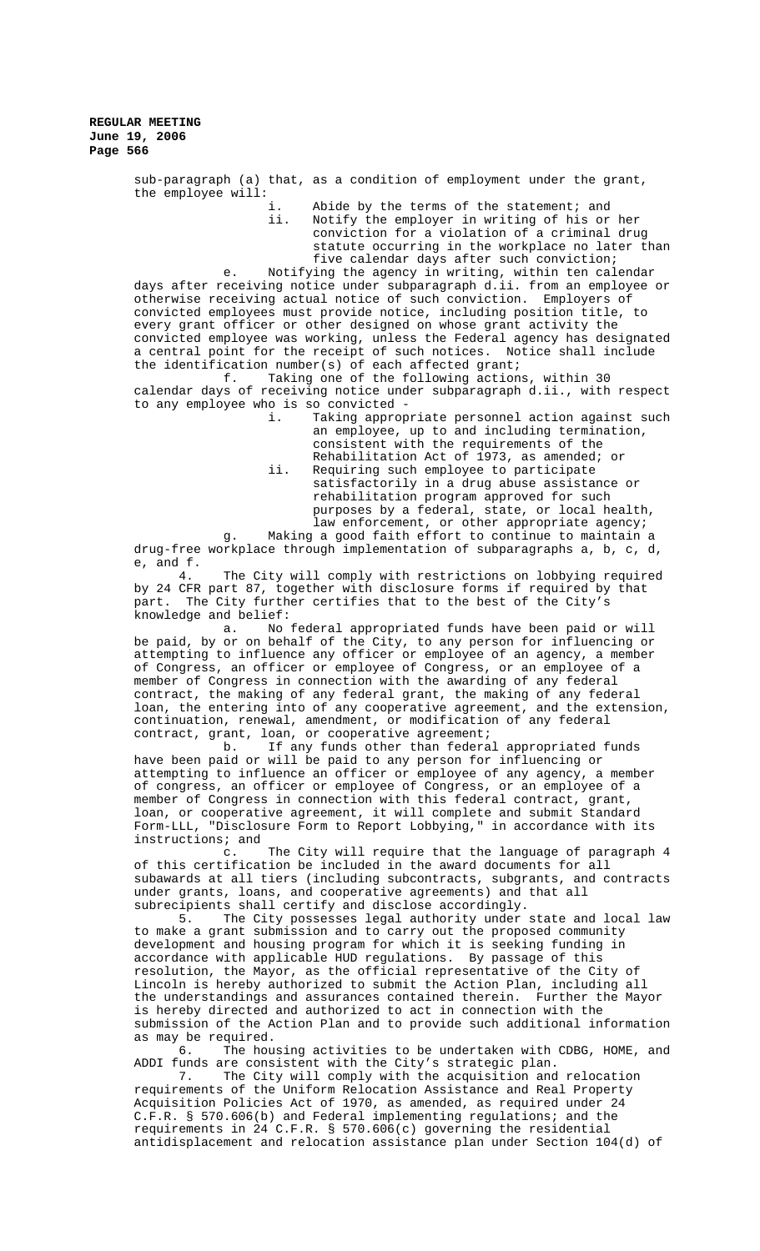> sub-paragraph (a) that, as a condition of employment under the grant, the employee will:

i. Abide by the terms of the statement; and<br>ii. Notify the emplover in writing of his or Notify the employer in writing of his or her conviction for a violation of a criminal drug statute occurring in the workplace no later than five calendar days after such conviction;

e. Notifying the agency in writing, within ten calendar days after receiving notice under subparagraph d.ii. from an employee or otherwise receiving actual notice of such conviction. Employers of convicted employees must provide notice, including position title, to every grant officer or other designed on whose grant activity the convicted employee was working, unless the Federal agency has designated a central point for the receipt of such notices. Notice shall include the identification number(s) of each affected grant;<br>f. Taking one of the following action;

Taking one of the following actions, within 30 calendar days of receiving notice under subparagraph d.ii., with respect to any employee who is so convicted -

- Taking appropriate personnel action against such an employee, up to and including termination, consistent with the requirements of the Rehabilitation Act of 1973, as amended; or
- ii. Requiring such employee to participate satisfactorily in a drug abuse assistance or rehabilitation program approved for such purposes by a federal, state, or local health, law enforcement, or other appropriate agency;

g. Making a good faith effort to continue to maintain a drug-free workplace through implementation of subparagraphs a, b, c, d, e, and f.

4. The City will comply with restrictions on lobbying required by 24 CFR part 87, together with disclosure forms if required by that part. The City further certifies that to the best of the City's knowledge and belief:

a. No federal appropriated funds have been paid or will be paid, by or on behalf of the City, to any person for influencing or attempting to influence any officer or employee of an agency, a member of Congress, an officer or employee of Congress, or an employee of a member of Congress in connection with the awarding of any federal contract, the making of any federal grant, the making of any federal loan, the entering into of any cooperative agreement, and the extension, continuation, renewal, amendment, or modification of any federal contract, grant, loan, or cooperative agreement;

b. If any funds other than federal appropriated funds have been paid or will be paid to any person for influencing or attempting to influence an officer or employee of any agency, a member of congress, an officer or employee of Congress, or an employee of a member of Congress in connection with this federal contract, grant, loan, or cooperative agreement, it will complete and submit Standard Form-LLL, "Disclosure Form to Report Lobbying," in accordance with its instructions; and

c. The City will require that the language of paragraph 4 of this certification be included in the award documents for all subawards at all tiers (including subcontracts, subgrants, and contracts under grants, loans, and cooperative agreements) and that all subrecipients shall certify and disclose accordingly.

5. The City possesses legal authority under state and local law to make a grant submission and to carry out the proposed community development and housing program for which it is seeking funding in accordance with applicable HUD regulations. By passage of this resolution, the Mayor, as the official representative of the City of Lincoln is hereby authorized to submit the Action Plan, including all the understandings and assurances contained therein. Further the Mayor is hereby directed and authorized to act in connection with the submission of the Action Plan and to provide such additional information as may be required.

6. The housing activities to be undertaken with CDBG, HOME, and ADDI funds are consistent with the City's strategic plan.

7. The City will comply with the acquisition and relocation requirements of the Uniform Relocation Assistance and Real Property Acquisition Policies Act of 1970, as amended, as required under 24 C.F.R. § 570.606(b) and Federal implementing regulations; and the requirements in 24 C.F.R. § 570.606(c) governing the residential antidisplacement and relocation assistance plan under Section 104(d) of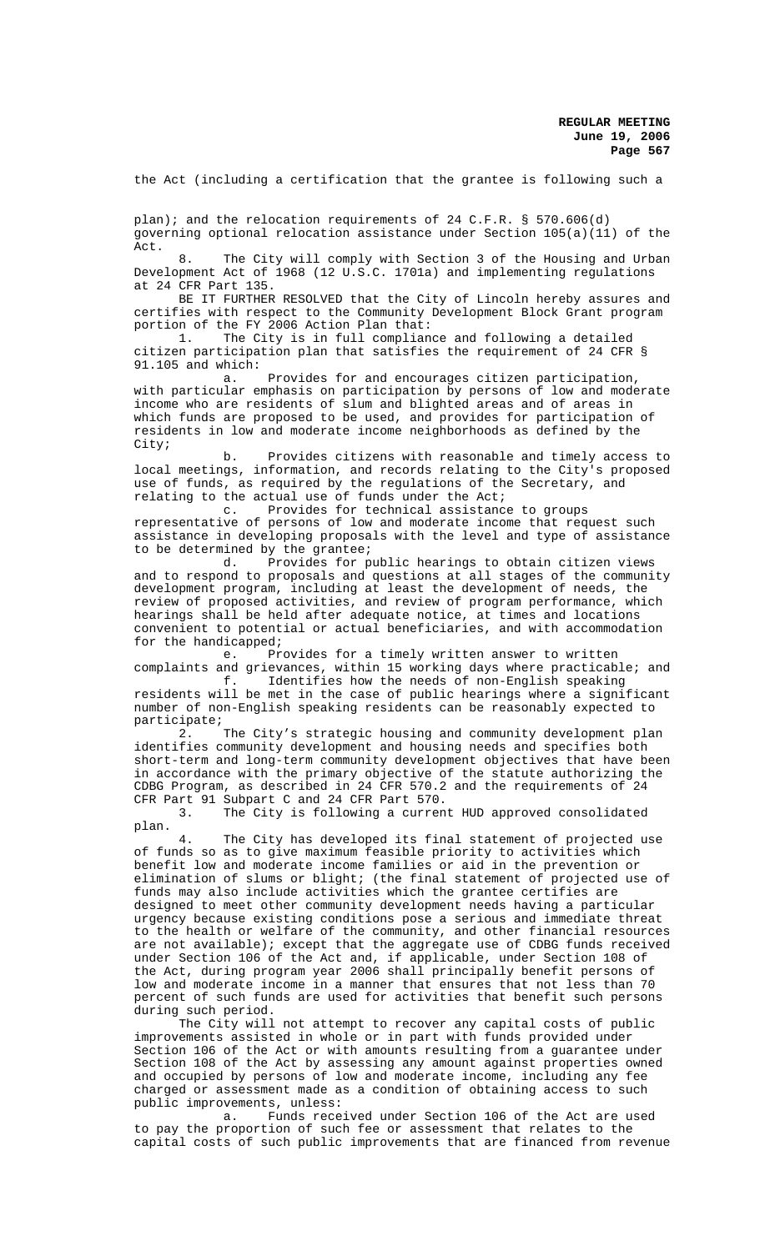the Act (including a certification that the grantee is following such a

plan); and the relocation requirements of 24 C.F.R. § 570.606(d) governing optional relocation assistance under Section 105(a)(11) of the Act.

8. The City will comply with Section 3 of the Housing and Urban Development Act of 1968 (12 U.S.C. 1701a) and implementing regulations at 24 CFR Part 135.

BE IT FURTHER RESOLVED that the City of Lincoln hereby assures and certifies with respect to the Community Development Block Grant program portion of the FY 2006 Action Plan that:<br>1. The City is in full complian

The City is in full compliance and following a detailed citizen participation plan that satisfies the requirement of 24 CFR § 91.105 and which:<br>a.

Provides for and encourages citizen participation, with particular emphasis on participation by persons of low and moderate income who are residents of slum and blighted areas and of areas in which funds are proposed to be used, and provides for participation of residents in low and moderate income neighborhoods as defined by the City;

b. Provides citizens with reasonable and timely access to local meetings, information, and records relating to the City's proposed use of funds, as required by the regulations of the Secretary, and relating to the actual use of funds under the Act;<br>c. Provides for technical assistance

Provides for technical assistance to groups representative of persons of low and moderate income that request such assistance in developing proposals with the level and type of assistance to be determined by the grantee;<br>d. Provides for p

Provides for public hearings to obtain citizen views and to respond to proposals and questions at all stages of the community development program, including at least the development of needs, the review of proposed activities, and review of program performance, which hearings shall be held after adequate notice, at times and locations convenient to potential or actual beneficiaries, and with accommodation for the handicapped;

e. Provides for a timely written answer to written complaints and grievances, within 15 working days where practicable; and<br>f. Identifies how the needs of non-English speaking

Identifies how the needs of non-English speaking residents will be met in the case of public hearings where a significant number of non-English speaking residents can be reasonably expected to participate;

2. The City's strategic housing and community development plan identifies community development and housing needs and specifies both short-term and long-term community development objectives that have been in accordance with the primary objective of the statute authorizing the CDBG Program, as described in 24 CFR 570.2 and the requirements of 24 CFR Part 91 Subpart C and 24 CFR Part 570.

The City is following a current HUD approved consolidated plan.

4. The City has developed its final statement of projected use of funds so as to give maximum feasible priority to activities which benefit low and moderate income families or aid in the prevention or elimination of slums or blight; (the final statement of projected use of funds may also include activities which the grantee certifies are designed to meet other community development needs having a particular urgency because existing conditions pose a serious and immediate threat to the health or welfare of the community, and other financial resources are not available); except that the aggregate use of CDBG funds received under Section 106 of the Act and, if applicable, under Section 108 of the Act, during program year 2006 shall principally benefit persons of low and moderate income in a manner that ensures that not less than 70 percent of such funds are used for activities that benefit such persons during such period.

The City will not attempt to recover any capital costs of public improvements assisted in whole or in part with funds provided under Section 106 of the Act or with amounts resulting from a guarantee under Section 108 of the Act by assessing any amount against properties owned and occupied by persons of low and moderate income, including any fee charged or assessment made as a condition of obtaining access to such public improvements, unless:

a. Funds received under Section 106 of the Act are used to pay the proportion of such fee or assessment that relates to the capital costs of such public improvements that are financed from revenue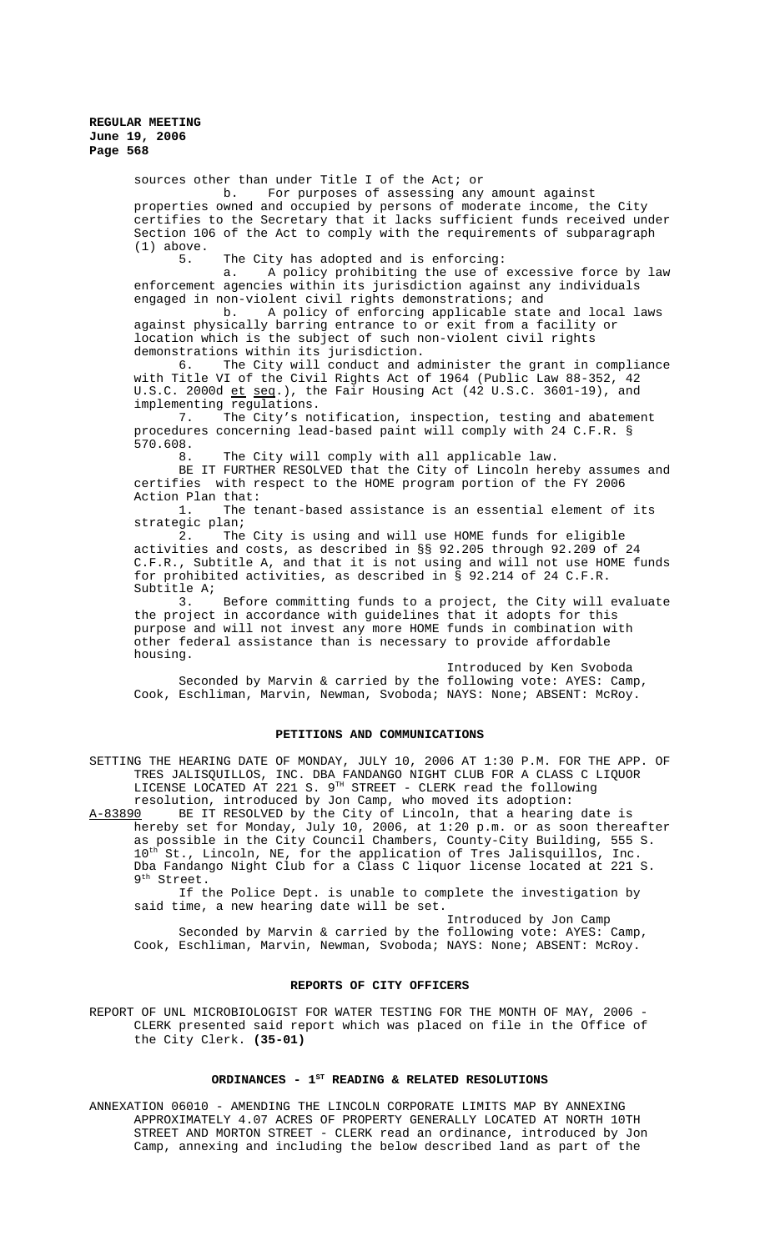sources other than under Title I of the Act; or

b. For purposes of assessing any amount against properties owned and occupied by persons of moderate income, the City certifies to the Secretary that it lacks sufficient funds received under Section 106 of the Act to comply with the requirements of subparagraph  $(1)$  above.

The City has adopted and is enforcing:

a. A policy prohibiting the use of excessive force by law enforcement agencies within its jurisdiction against any individuals engaged in non-violent civil rights demonstrations; and

b. A policy of enforcing applicable state and local laws against physically barring entrance to or exit from a facility or location which is the subject of such non-violent civil rights demonstrations within its jurisdiction.

6. The City will conduct and administer the grant in compliance with Title VI of the Civil Rights Act of 1964 (Public Law 88-352, 42 U.S.C. 2000d et seq.), the Fair Housing Act (42 U.S.C. 3601-19), and implementing regulations.

7. The City's notification, inspection, testing and abatement procedures concerning lead-based paint will comply with 24 C.F.R. § 570.608.

8. The City will comply with all applicable law.

BE IT FURTHER RESOLVED that the City of Lincoln hereby assumes and certifies with respect to the HOME program portion of the FY 2006 Action Plan that:

1. The tenant-based assistance is an essential element of its strategic plan;

2. The City is using and will use HOME funds for eligible activities and costs, as described in §§ 92.205 through 92.209 of 24 C.F.R., Subtitle A, and that it is not using and will not use HOME funds for prohibited activities, as described in § 92.214 of 24 C.F.R. Subtitle A;

3. Before committing funds to a project, the City will evaluate the project in accordance with guidelines that it adopts for this purpose and will not invest any more HOME funds in combination with other federal assistance than is necessary to provide affordable housing.

Introduced by Ken Svoboda Seconded by Marvin & carried by the following vote: AYES: Camp, Cook, Eschliman, Marvin, Newman, Svoboda; NAYS: None; ABSENT: McRoy.

## **PETITIONS AND COMMUNICATIONS**

SETTING THE HEARING DATE OF MONDAY, JULY 10, 2006 AT 1:30 P.M. FOR THE APP. OF TRES JALISQUILLOS, INC. DBA FANDANGO NIGHT CLUB FOR A CLASS C LIQUOR LICENSE LOCATED AT 221 S.  $9^{\text{\tiny{TH}}}$  STREET - CLERK read the following resolution, introduced by Jon Camp, who moved its adoption:

A-83890 BE IT RESOLVED by the City of Lincoln, that a hearing date is hereby set for Monday, July 10, 2006, at 1:20 p.m. or as soon thereafter as possible in the City Council Chambers, County-City Building, 555 S. 10<sup>th</sup> St., Lincoln, NE, for the application of Tres Jalisquillos, Inc. Dba Fandango Night Club for a Class C liquor license located at 221 S. 9th Street.

If the Police Dept. is unable to complete the investigation by said time, a new hearing date will be set.

Introduced by Jon Camp Seconded by Marvin & carried by the following vote: AYES: Camp, Cook, Eschliman, Marvin, Newman, Svoboda; NAYS: None; ABSENT: McRoy.

## **REPORTS OF CITY OFFICERS**

REPORT OF UNL MICROBIOLOGIST FOR WATER TESTING FOR THE MONTH OF MAY, 2006 -CLERK presented said report which was placed on file in the Office of the City Clerk. **(35-01)**

# ORDINANCES - 1<sup>st</sup> READING & RELATED RESOLUTIONS

ANNEXATION 06010 - AMENDING THE LINCOLN CORPORATE LIMITS MAP BY ANNEXING APPROXIMATELY 4.07 ACRES OF PROPERTY GENERALLY LOCATED AT NORTH 10TH STREET AND MORTON STREET - CLERK read an ordinance, introduced by Jon Camp, annexing and including the below described land as part of the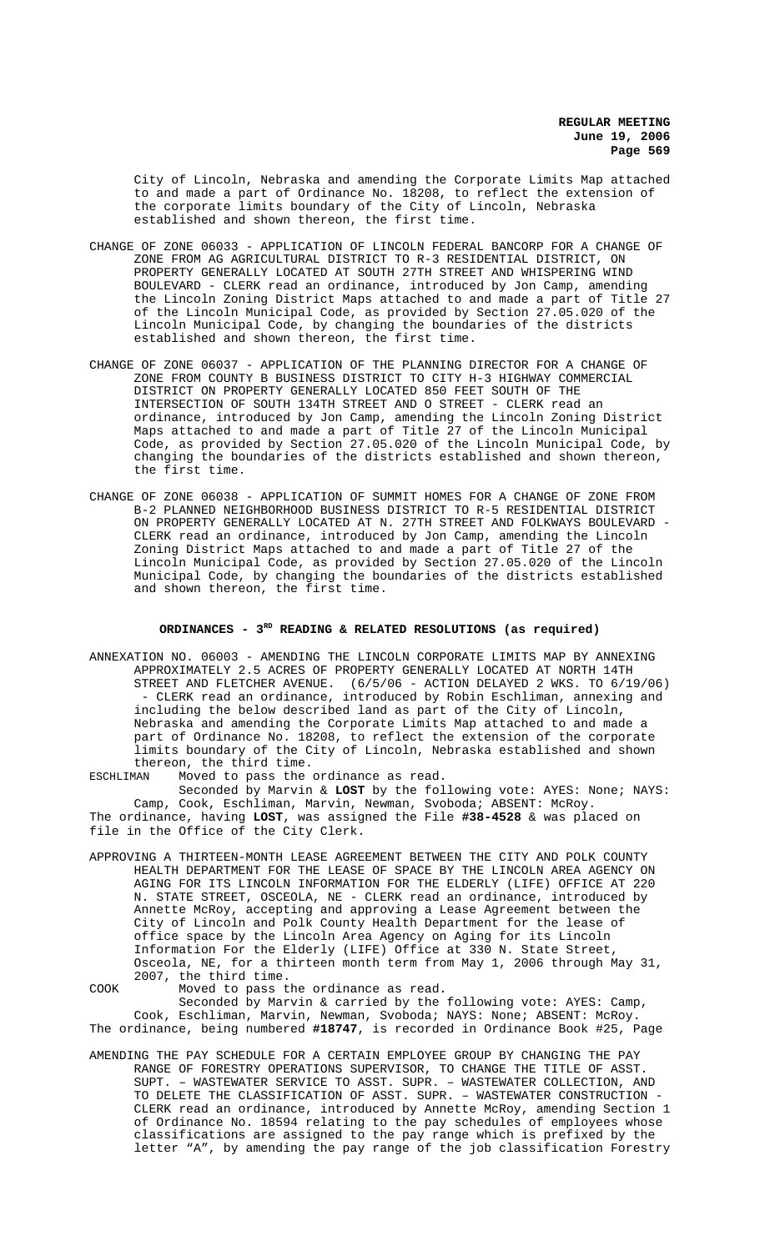City of Lincoln, Nebraska and amending the Corporate Limits Map attached to and made a part of Ordinance No. 18208, to reflect the extension of the corporate limits boundary of the City of Lincoln, Nebraska established and shown thereon, the first time.

- CHANGE OF ZONE 06033 APPLICATION OF LINCOLN FEDERAL BANCORP FOR A CHANGE OF ZONE FROM AG AGRICULTURAL DISTRICT TO R-3 RESIDENTIAL DISTRICT, ON PROPERTY GENERALLY LOCATED AT SOUTH 27TH STREET AND WHISPERING WIND BOULEVARD - CLERK read an ordinance, introduced by Jon Camp, amending the Lincoln Zoning District Maps attached to and made a part of Title 27 of the Lincoln Municipal Code, as provided by Section 27.05.020 of the Lincoln Municipal Code, by changing the boundaries of the districts established and shown thereon, the first time.
- CHANGE OF ZONE 06037 APPLICATION OF THE PLANNING DIRECTOR FOR A CHANGE OF ZONE FROM COUNTY B BUSINESS DISTRICT TO CITY H-3 HIGHWAY COMMERCIAL DISTRICT ON PROPERTY GENERALLY LOCATED 850 FEET SOUTH OF THE INTERSECTION OF SOUTH 134TH STREET AND O STREET - CLERK read an ordinance, introduced by Jon Camp, amending the Lincoln Zoning District Maps attached to and made a part of Title 27 of the Lincoln Municipal Code, as provided by Section 27.05.020 of the Lincoln Municipal Code, by changing the boundaries of the districts established and shown thereon, the first time.
- CHANGE OF ZONE 06038 APPLICATION OF SUMMIT HOMES FOR A CHANGE OF ZONE FROM B-2 PLANNED NEIGHBORHOOD BUSINESS DISTRICT TO R-5 RESIDENTIAL DISTRICT ON PROPERTY GENERALLY LOCATED AT N. 27TH STREET AND FOLKWAYS BOULEVARD - CLERK read an ordinance, introduced by Jon Camp, amending the Lincoln Zoning District Maps attached to and made a part of Title 27 of the Lincoln Municipal Code, as provided by Section 27.05.020 of the Lincoln Municipal Code, by changing the boundaries of the districts established and shown thereon, the first time.

## ORDINANCES -  $3^{RD}$  READING & RELATED RESOLUTIONS (as required)

ANNEXATION NO. 06003 - AMENDING THE LINCOLN CORPORATE LIMITS MAP BY ANNEXING APPROXIMATELY 2.5 ACRES OF PROPERTY GENERALLY LOCATED AT NORTH 14TH STREET AND FLETCHER AVENUE. (6/5/06 - ACTION DELAYED 2 WKS. TO 6/19/06) - CLERK read an ordinance, introduced by Robin Eschliman, annexing and including the below described land as part of the City of Lincoln, Nebraska and amending the Corporate Limits Map attached to and made a part of Ordinance No. 18208, to reflect the extension of the corporate limits boundary of the City of Lincoln, Nebraska established and shown thereon, the third time.<br>ESCHLIMAN Moved to pass the

Moved to pass the ordinance as read.

Seconded by Marvin & **LOST** by the following vote: AYES: None; NAYS: Camp, Cook, Eschliman, Marvin, Newman, Svoboda; ABSENT: McRoy. The ordinance, having **LOST**, was assigned the File **#38-4528** & was placed on file in the Office of the City Clerk.

- APPROVING A THIRTEEN-MONTH LEASE AGREEMENT BETWEEN THE CITY AND POLK COUNTY HEALTH DEPARTMENT FOR THE LEASE OF SPACE BY THE LINCOLN AREA AGENCY ON AGING FOR ITS LINCOLN INFORMATION FOR THE ELDERLY (LIFE) OFFICE AT 220 N. STATE STREET, OSCEOLA, NE - CLERK read an ordinance, introduced by Annette McRoy, accepting and approving a Lease Agreement between the City of Lincoln and Polk County Health Department for the lease of office space by the Lincoln Area Agency on Aging for its Lincoln Information For the Elderly (LIFE) Office at 330 N. State Street, Osceola, NE, for a thirteen month term from May 1, 2006 through May 31, 2007, the third time.
- COOK Moved to pass the ordinance as read. Seconded by Marvin & carried by the following vote: AYES: Camp, Cook, Eschliman, Marvin, Newman, Svoboda; NAYS: None; ABSENT: McRoy. The ordinance, being numbered **#18747**, is recorded in Ordinance Book #25, Page
- AMENDING THE PAY SCHEDULE FOR A CERTAIN EMPLOYEE GROUP BY CHANGING THE PAY RANGE OF FORESTRY OPERATIONS SUPERVISOR, TO CHANGE THE TITLE OF ASST. SUPT. – WASTEWATER SERVICE TO ASST. SUPR. – WASTEWATER COLLECTION, AND TO DELETE THE CLASSIFICATION OF ASST. SUPR. – WASTEWATER CONSTRUCTION - CLERK read an ordinance, introduced by Annette McRoy, amending Section 1 of Ordinance No. 18594 relating to the pay schedules of employees whose classifications are assigned to the pay range which is prefixed by the letter "A", by amending the pay range of the job classification Forestry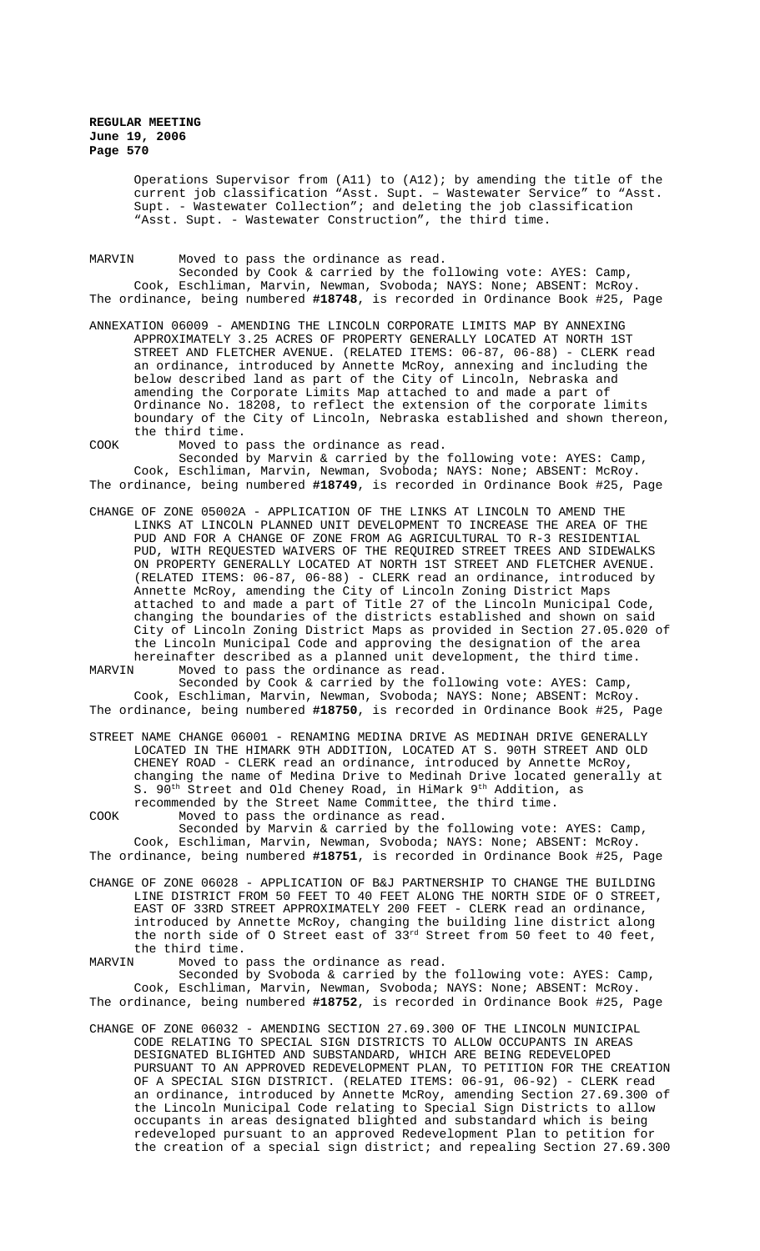Operations Supervisor from (A11) to (A12); by amending the title of the current job classification "Asst. Supt. – Wastewater Service" to "Asst. Supt. - Wastewater Collection"; and deleting the job classification "Asst. Supt. - Wastewater Construction", the third time.

MARVIN Moved to pass the ordinance as read. Seconded by Cook & carried by the following vote: AYES: Camp,

Cook, Eschliman, Marvin, Newman, Svoboda; NAYS: None; ABSENT: McRoy. The ordinance, being numbered **#18748**, is recorded in Ordinance Book #25, Page

ANNEXATION 06009 - AMENDING THE LINCOLN CORPORATE LIMITS MAP BY ANNEXING APPROXIMATELY 3.25 ACRES OF PROPERTY GENERALLY LOCATED AT NORTH 1ST STREET AND FLETCHER AVENUE. (RELATED ITEMS: 06-87, 06-88) - CLERK read an ordinance, introduced by Annette McRoy, annexing and including the below described land as part of the City of Lincoln, Nebraska and amending the Corporate Limits Map attached to and made a part of Ordinance No. 18208, to reflect the extension of the corporate limits boundary of the City of Lincoln, Nebraska established and shown thereon, the third time.

COOK Moved to pass the ordinance as read. Seconded by Marvin & carried by the following vote: AYES: Camp, Cook, Eschliman, Marvin, Newman, Svoboda; NAYS: None; ABSENT: McRoy. The ordinance, being numbered **#18749**, is recorded in Ordinance Book #25, Page

CHANGE OF ZONE 05002A - APPLICATION OF THE LINKS AT LINCOLN TO AMEND THE LINKS AT LINCOLN PLANNED UNIT DEVELOPMENT TO INCREASE THE AREA OF THE PUD AND FOR A CHANGE OF ZONE FROM AG AGRICULTURAL TO R-3 RESIDENTIAL PUD, WITH REQUESTED WAIVERS OF THE REQUIRED STREET TREES AND SIDEWALKS ON PROPERTY GENERALLY LOCATED AT NORTH 1ST STREET AND FLETCHER AVENUE. (RELATED ITEMS: 06-87, 06-88) - CLERK read an ordinance, introduced by Annette McRoy, amending the City of Lincoln Zoning District Maps attached to and made a part of Title 27 of the Lincoln Municipal Code, changing the boundaries of the districts established and shown on said City of Lincoln Zoning District Maps as provided in Section 27.05.020 of the Lincoln Municipal Code and approving the designation of the area hereinafter described as a planned unit development, the third time.<br>MARVIN Moved to pass the ordinance as read. Moved to pass the ordinance as read.

Seconded by Cook & carried by the following vote: AYES: Camp, Cook, Eschliman, Marvin, Newman, Svoboda; NAYS: None; ABSENT: McRoy. The ordinance, being numbered **#18750**, is recorded in Ordinance Book #25, Page

STREET NAME CHANGE 06001 - RENAMING MEDINA DRIVE AS MEDINAH DRIVE GENERALLY LOCATED IN THE HIMARK 9TH ADDITION, LOCATED AT S. 90TH STREET AND OLD CHENEY ROAD - CLERK read an ordinance, introduced by Annette McRoy, changing the name of Medina Drive to Medinah Drive located generally at S. 90<sup>th</sup> Street and Old Cheney Road, in HiMark 9<sup>th</sup> Addition, as recommended by the Street Name Committee, the third time.

COOK Moved to pass the ordinance as read. Seconded by Marvin & carried by the following vote: AYES: Camp, Cook, Eschliman, Marvin, Newman, Svoboda; NAYS: None; ABSENT: McRoy. The ordinance, being numbered **#18751**, is recorded in Ordinance Book #25, Page

CHANGE OF ZONE 06028 - APPLICATION OF B&J PARTNERSHIP TO CHANGE THE BUILDING LINE DISTRICT FROM 50 FEET TO 40 FEET ALONG THE NORTH SIDE OF O STREET, EAST OF 33RD STREET APPROXIMATELY 200 FEET - CLERK read an ordinance, introduced by Annette McRoy, changing the building line district along the north side of O Street east of 33rd Street from 50 feet to 40 feet, the third time.

MARVIN Moved to pass the ordinance as read. Seconded by Svoboda & carried by the following vote: AYES: Camp, Cook, Eschliman, Marvin, Newman, Svoboda; NAYS: None; ABSENT: McRoy.

The ordinance, being numbered **#18752**, is recorded in Ordinance Book #25, Page

CHANGE OF ZONE 06032 - AMENDING SECTION 27.69.300 OF THE LINCOLN MUNICIPAL CODE RELATING TO SPECIAL SIGN DISTRICTS TO ALLOW OCCUPANTS IN AREAS DESIGNATED BLIGHTED AND SUBSTANDARD, WHICH ARE BEING REDEVELOPED PURSUANT TO AN APPROVED REDEVELOPMENT PLAN, TO PETITION FOR THE CREATION OF A SPECIAL SIGN DISTRICT. (RELATED ITEMS: 06-91, 06-92) - CLERK read an ordinance, introduced by Annette McRoy, amending Section 27.69.300 of the Lincoln Municipal Code relating to Special Sign Districts to allow occupants in areas designated blighted and substandard which is being redeveloped pursuant to an approved Redevelopment Plan to petition for the creation of a special sign district; and repealing Section 27.69.300